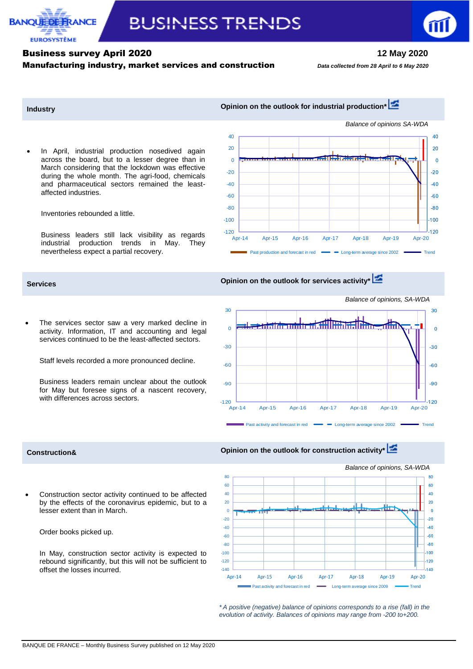

## Business survey April 2020 **12 May 2020** Manufacturing industry, market services and construction*Data collected from 28 April to 6 May <sup>2020</sup>*

30

 $\Omega$ 

**BANOUEDE F** 

**FUROSYSTÈME** 

RANCE

 In April, industrial production nosedived again across the board, but to a lesser degree than in March considering that the lockdown was effective during the whole month. The agri-food, chemicals and pharmaceutical sectors remained the leastaffected industries.

Inventories rebounded a little.

Business leaders still lack visibility as regards industrial production trends in May. They nevertheless expect a partial recovery.

# **Services Opinion on the outlook for services activity\***

 The services sector saw a very marked decline in activity. Information, IT and accounting and legal services continued to be the least-affected sectors.

Staff levels recorded a more pronounced decline.

Business leaders remain unclear about the outlook for May but foresee signs of a nascent recovery, with differences across sectors.

## **Industry Industry Opinion on the outlook for industrial production\***



# *Balance of opinions, SA-WDA* 30 **Time**n  $\Omega$



## **Construction& Construction Construction Construction A Construction A Opinion on the outlook for construction activity**

 Construction sector activity continued to be affected by the effects of the coronavirus epidemic, but to a lesser extent than in March.

Order books picked up.

In May, construction sector activity is expected to rebound significantly, but this will not be sufficient to offset the losses incurred.

*Balance of opinions, SA-WDA* 80 80  $60$  $60$ 40  $40$  $20$  $\overline{20}$  $\overline{0}$  $\overline{0}$ -20  $-20$  $-40$ -40 -60  $-60$  $-80$ -80  $-100$ -100 -120  $-120$  $-140$ -140 Apr-14 Apr-15 Apr-16 Apr-17 Apr-18 Apr-19 Apr-20 Past activity and forecast in red Long-term average since 2009 Trend

*\* A positive (negative) balance of opinions corresponds to a rise (fall) in the evolution of activity. Balances of opinions may range from -200 to+200.*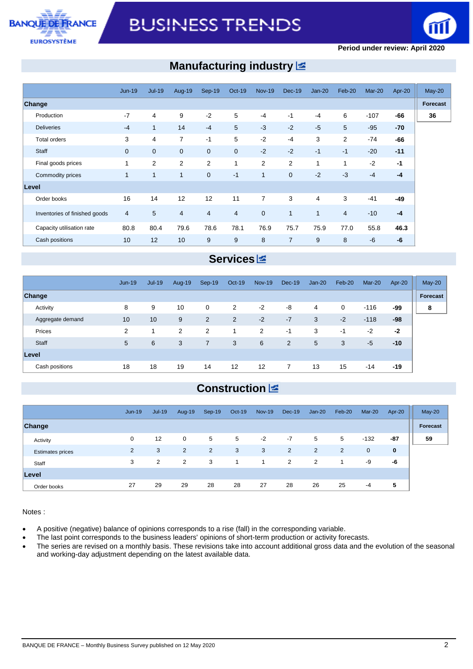



### **Period under review: April 2020**

# **Manufacturing industry**

|                               | <b>Jun-19</b> | $Jul-19$       | Aug-19         | Sep-19         | <b>Oct-19</b>  | <b>Nov-19</b>  | <b>Dec-19</b>  | $Jan-20$     | Feb-20                   | $Mar-20$ | Apr-20 | $May-20$ |
|-------------------------------|---------------|----------------|----------------|----------------|----------------|----------------|----------------|--------------|--------------------------|----------|--------|----------|
| Change                        |               |                |                |                |                |                |                |              |                          |          |        | Forecast |
| Production                    | $-7$          | $\overline{4}$ | 9              | $-2$           | 5              | $-4$           | $-1$           | $-4$         | 6                        | $-107$   | -66    |          |
| <b>Deliveries</b>             | $-4$          | $\mathbf{1}$   | 14             | $-4$           | 5              | $-3$           | $-2$           | $-5$         | 5                        | $-95$    | $-70$  |          |
| <b>Total orders</b>           | 3             | $\overline{4}$ | $\overline{7}$ | $-1$           | 5              | $-2$           | $-4$           | 3            | 2                        | $-74$    | -66    |          |
| Staff                         | $\mathbf 0$   | $\mathbf{0}$   | $\mathbf{0}$   | $\mathbf 0$    | $\mathbf 0$    | $-2$           | $-2$           | $-1$         | $-1$                     | $-20$    | $-11$  |          |
| Final goods prices            | 1             | $\overline{2}$ | $\overline{2}$ | 2              | 1              | $\overline{2}$ | 2              | 1            | 1                        | $-2$     | $-1$   |          |
| Commodity prices              | 1             | $\mathbf{1}$   | 1              | $\overline{0}$ | $-1$           | $\mathbf{1}$   | $\mathbf{0}$   | $-2$         | $-3$                     | $-4$     | $-4$   |          |
| Level                         |               |                |                |                |                |                |                |              |                          |          |        |          |
| Order books                   | 16            | 14             | 12             | 12             | 11             | $\overline{7}$ | 3              | 4            | 3                        | $-41$    | $-49$  |          |
| Inventories of finished goods | 4             | 5              | $\overline{4}$ | $\overline{4}$ | $\overline{4}$ | $\mathbf 0$    | 1              | $\mathbf{1}$ | $\overline{\mathcal{A}}$ | $-10$    | $-4$   |          |
| Capacity utilisation rate     | 80.8          | 80.4           | 79.6           | 78.6           | 78.1           | 76.9           | 75.7           | 75.9         | 77.0                     | 55.8     | 46.3   |          |
| Cash positions                | 10            | 12             | 10             | 9              | 9              | 8              | $\overline{7}$ | 9            | 8                        | $-6$     | -6     |          |

## **Services**

|                  | <b>Jun-19</b> | <b>Jul-19</b> | Aug-19 | Sep-19         | Oct-19         | <b>Nov-19</b>     | $Dec-19$       | $Jan-20$ | Feb-20 | $Mar-20$ | Apr-20 | $May-20$ |
|------------------|---------------|---------------|--------|----------------|----------------|-------------------|----------------|----------|--------|----------|--------|----------|
| Change           |               |               |        |                |                |                   |                |          |        |          |        | Forecast |
| Activity         | 8             | 9             | 10     | 0              | $\overline{2}$ | $-2$              | -8             | 4        | 0      | $-116$   | -99    | 8        |
| Aggregate demand | 10            | 10            | 9      | 2              | 2              | $-2$              | $-7$           | 3        | $-2$   | $-118$   | -98    |          |
| Prices           | 2             |               | 2      | $\overline{2}$ |                | 2                 | -1             | 3        | -1     | $-2$     | $-2$   |          |
| Staff            | 5             | 6             | 3      | $\overline{7}$ | 3              | 6                 | 2              | 5        | 3      | $-5$     | $-10$  |          |
| Level            |               |               |        |                |                |                   |                |          |        |          |        |          |
| Cash positions   | 18            | 18            | 19     | 14             | 12             | $12 \overline{ }$ | $\overline{7}$ | 13       | 15     | $-14$    | -19    |          |

# **Construction**

|                         | $Jun-19$       | $Jul-19$ | Aug-19 | $Sep-19$ | $Oct-19$ | <b>Nov-19</b> | <b>Dec-19</b> | $Jan-20$ | Feb-20         | $Mar-20$    | Apr-20 | $May-20$ |
|-------------------------|----------------|----------|--------|----------|----------|---------------|---------------|----------|----------------|-------------|--------|----------|
| Change                  |                |          |        |          |          |               |               |          |                |             |        | Forecast |
| Activity                | $\mathbf 0$    | 12       | 0      | 5        | 5        | $-2$          | $-7$          | 5        | 5              | $-132$      | $-87$  | 59       |
| <b>Estimates prices</b> | $\overline{2}$ | 3        | 2      | 2        | 3        | 3             | 2             | 2        | $\overline{2}$ | $\mathbf 0$ | 0      |          |
| Staff                   | 3              | 2        | 2      | 3        |          | 1             | 2             | 2        | 1              | -9          | -6     |          |
| Level                   |                |          |        |          |          |               |               |          |                |             |        |          |
| Order books             | 27             | 29       | 29     | 28       | 28       | 27            | 28            | 26       | 25             | $-4$        | 5      |          |

Notes :

- A positive (negative) balance of opinions corresponds to a rise (fall) in the corresponding variable.
- The last point corresponds to the business leaders' opinions of short-term production or activity forecasts.
- The series are revised on a monthly basis. These revisions take into account additional gross data and the evolution of the seasonal and working-day adjustment depending on the latest available data.